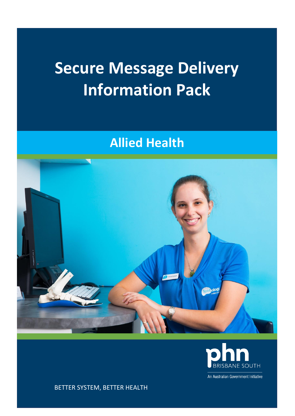## **Secure Message Delivery Information Pack**

### **Allied Health**





An Australian Government Initiative

BETTER SYSTEM, BETTER HEALTH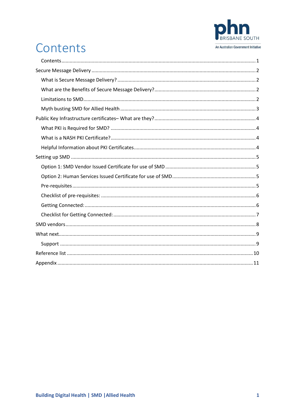

## <span id="page-1-0"></span>Contents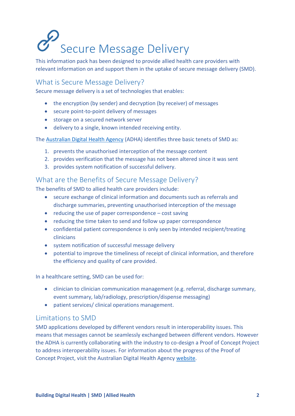# <span id="page-2-0"></span>Secure Message Delivery

This information pack has been designed to provide allied health care providers with relevant information on and support them in the uptake of secure message delivery (SMD).

#### <span id="page-2-1"></span>What is Secure Message Delivery?

Secure message delivery is a set of technologies that enables:

- the encryption (by sender) and decryption (by receiver) of messages
- secure point-to-point delivery of messages
- storage on a secured network server
- delivery to a single, known intended receiving entity.

The [Australian Digital Health Agency](https://www.digitalhealth.gov.au/get-started-with-digital-health/what-is-digital-health/secure-messaging) (ADHA) identifies three basic tenets of SMD as:

- 1. prevents the unauthorised interception of the message content
- 2. provides verification that the message has not been altered since it was sent
- 3. provides system notification of successful delivery.

#### <span id="page-2-2"></span>What are the Benefits of Secure Message Delivery?

The benefits of SMD to allied health care providers include:

- secure exchange of clinical information and documents such as referrals and discharge summaries, preventing unauthorised interception of the message
- $\bullet$  reducing the use of paper correspondence cost saving
- reducing the time taken to send and follow up paper correspondence
- confidential patient correspondence is only seen by intended recipient/treating clinicians
- system notification of successful message delivery
- potential to improve the timeliness of receipt of clinical information, and therefore the efficiency and quality of care provided.

In a healthcare setting, SMD can be used for:

- clinician to clinician communication management (e.g. referral, discharge summary, event summary, lab/radiology, prescription/dispense messaging)
- patient services/ clinical operations management.

#### <span id="page-2-3"></span>Limitations to SMD

SMD applications developed by different vendors result in interoperability issues. This means that messages cannot be seamlessly exchanged between different vendors. However the ADHA is currently collaborating with the industry to co-design a Proof of Concept Project to address interoperability issues. For information about the progress of the Proof of Concept Project, visit the Australian Digital Health Agency [website.](https://www.digitalhealth.gov.au/get-started-with-digital-health/what-is-digital-health/secure-messaging)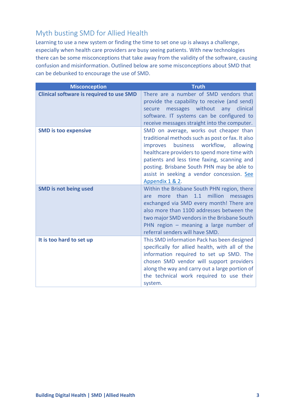#### <span id="page-3-0"></span>Myth busting SMD for Allied Health

Learning to use a new system or finding the time to set one up is always a challenge, especially when health care providers are busy seeing patients. With new technologies there can be some misconceptions that take away from the validity of the software, causing confusion and misinformation. Outlined below are some misconceptions about SMD that can be debunked to encourage the use of SMD.

| <b>Misconception</b>                            | <b>Truth</b>                                                                                                                                                                                                                                                                                                                                           |
|-------------------------------------------------|--------------------------------------------------------------------------------------------------------------------------------------------------------------------------------------------------------------------------------------------------------------------------------------------------------------------------------------------------------|
| <b>Clinical software is required to use SMD</b> | There are a number of SMD vendors that<br>provide the capability to receive (and send)<br>messages without any clinical<br>secure<br>software. IT systems can be configured to<br>receive messages straight into the computer.                                                                                                                         |
| <b>SMD is too expensive</b>                     | SMD on average, works out cheaper than<br>traditional methods such as post or fax. It also<br>business workflow,<br>improves<br>allowing<br>healthcare providers to spend more time with<br>patients and less time faxing, scanning and<br>posting. Brisbane South PHN may be able to<br>assist in seeking a vendor concession. See<br>Appendix 1 & 2. |
| <b>SMD is not being used</b>                    | Within the Brisbane South PHN region, there<br>more than<br>1.1 million<br>messages<br>are<br>exchanged via SMD every month! There are<br>also more than 1100 addresses between the<br>two major SMD vendors in the Brisbane South<br>PHN region $-$ meaning a large number of<br>referral senders will have SMD.                                      |
| It is too hard to set up                        | This SMD information Pack has been designed<br>specifically for allied health, with all of the<br>information required to set up SMD. The<br>chosen SMD vendor will support providers<br>along the way and carry out a large portion of<br>the technical work required to use their<br>system.                                                         |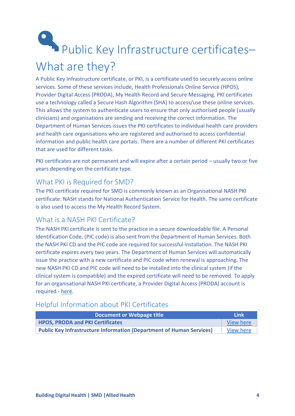# <span id="page-4-0"></span>Public Key Infrastructure certificates-What are they?

A Public Key Infrastructure certificate, or PKI, is a certificate used to securely access online services. Some of these services include, Health Professionals Online Service (HPOS), Provider Digital Access (PRODA), My Health Record and Secure Messaging. PKI certificates use a technology called a Secure Hash Algorithm (SHA) to access/use these online services. This allows the system to authenticate users to ensure that only authorised people (usually clinicians) and organisations are sending and receiving the correct information. The Department of Human Services issues the PKI certificates to individual health care providers and health care organisations who are registered and authorised to access confidential information and public health care portals. There are a number of different PKI certificates that are used for different tasks.

PKI certificates are not permanent and will expire after a certain period – usually two or five years depending on the certificate type.

#### <span id="page-4-1"></span>What PKI is Required for SMD?

The PKI certificate required for SMD is commonly known as an Organisational NASH PKI certificate. NASH stands for National Authentication Service for Health. The same certificate is also used to access the My Health Record System.

#### <span id="page-4-2"></span>What is a NASH PKI Certificate?

The NASH PKI certificate is sent to the practice in a secure downloadable file. A Personal Identification Code, (PIC code) is also sent from the Department of Human Services. Both the NASH PKI CD and the PIC code are required for successful installation. The NASH PKI certificate expires every two years. The Department of Human Services will automatically issue the practice with a new certificate and PIC code when renewal is approaching. The new NASH PKI CD and PIC code will need to be installed into the clinical system (if the clinical system is compatible) and the expired certificate will need to be removed. To apply for an organisational NASH PKI certificate, a Provider Digital Access (PRODA) account is required - [here.](https://proda.humanservices.gov.au/pia/pages/public/registration/account/createAccount.jsf)

#### <span id="page-4-3"></span>Helpful Information about PKI Certificates

| Document or Webpage title                                                   | Link             |
|-----------------------------------------------------------------------------|------------------|
| <b>HPOS, PRODA and PKI Certificates</b>                                     | View here        |
| <b>Public Key Infrastructure Information (Department of Human Services)</b> | <b>View here</b> |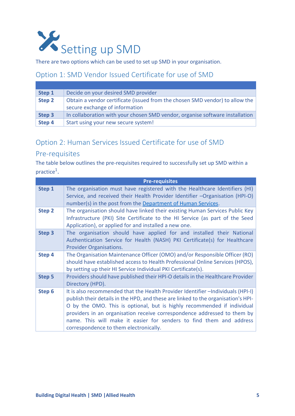<span id="page-5-0"></span>

There are two options which can be used to set up SMD in your organisation.

#### <span id="page-5-1"></span>Option 1: SMD Vendor Issued Certificate for use of SMD

| Step 1 | Decide on your desired SMD provider                                                                            |
|--------|----------------------------------------------------------------------------------------------------------------|
| Step 2 | Obtain a vendor certificate (issued from the chosen SMD vendor) to allow the<br>secure exchange of information |
| Step 3 | In collaboration with your chosen SMD vendor, organise software installation                                   |
| Step 4 | Start using your new secure system!                                                                            |

#### <span id="page-5-2"></span>Option 2: Human Services Issued Certificate for use of SMD

#### <span id="page-5-3"></span>Pre-requisites

The table below outlines the pre-requisites required to successfully set up SMD within a  $practive<sup>1</sup>$ .

|                   | <b>Pre-requisites</b>                                                                                                                                                                                                                                                                                                                                                                                                                         |
|-------------------|-----------------------------------------------------------------------------------------------------------------------------------------------------------------------------------------------------------------------------------------------------------------------------------------------------------------------------------------------------------------------------------------------------------------------------------------------|
| Step 1            | The organisation must have registered with the Healthcare Identifiers (HI)<br>Service, and received their Health Provider Identifier -Organisation (HPI-O)<br>number(s) in the post from the Department of Human Services.                                                                                                                                                                                                                    |
| <b>Step 2</b>     | The organisation should have linked their existing Human Services Public Key<br>Infrastructure (PKI) Site Certificate to the HI Service (as part of the Seed<br>Application), or applied for and installed a new one.                                                                                                                                                                                                                         |
| Step <sub>3</sub> | The organisation should have applied for and installed their National<br>Authentication Service for Health (NASH) PKI Certificate(s) for Healthcare<br><b>Provider Organisations.</b>                                                                                                                                                                                                                                                         |
| Step 4            | The Organisation Maintenance Officer (OMO) and/or Responsible Officer (RO)<br>should have established access to Health Professional Online Services (HPOS),<br>by setting up their HI Service Individual PKI Certificate(s).                                                                                                                                                                                                                  |
| Step 5            | Providers should have published their HPI-O details in the Healthcare Provider<br>Directory (HPD).                                                                                                                                                                                                                                                                                                                                            |
| Step 6            | It is also recommended that the Health Provider Identifier - Individuals (HPI-I)<br>publish their details in the HPD, and these are linked to the organisation's HPI-<br>O by the OMO. This is optional, but is highly recommended if individual<br>providers in an organisation receive correspondence addressed to them by<br>name. This will make it easier for senders to find them and address<br>correspondence to them electronically. |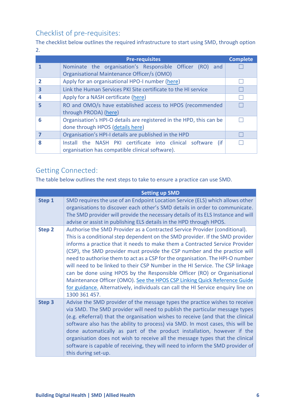#### <span id="page-6-0"></span>Checklist of pre-requisites:

The checklist below outlines the required infrastructure to start using SMD, through option 2.

|   | <b>Pre-requisites</b>                                               | <b>Complete</b> |  |
|---|---------------------------------------------------------------------|-----------------|--|
|   | Nominate the organisation's Responsible Officer (RO)<br>and         |                 |  |
|   | Organisational Maintenance Officer/s (OMO)                          |                 |  |
|   | Apply for an organisational HPO-I number (here)                     |                 |  |
| 3 | Link the Human Services PKI Site certificate to the HI service      |                 |  |
|   | Apply for a NASH certificate (here)                                 |                 |  |
| 5 | RO and OMO/s have established access to HPOS (recommended           |                 |  |
|   | through PRODA) (here)                                               |                 |  |
| 6 | Organisation's HPI-O details are registered in the HPD, this can be |                 |  |
|   | done through HPOS (details here)                                    |                 |  |
|   | Organisation's HPI-I details are published in the HPD               |                 |  |
| 8 | Install the NASH PKI certificate into clinical software (if         |                 |  |
|   | organisation has compatible clinical software).                     |                 |  |

#### <span id="page-6-1"></span>Getting Connected:

The table below outlines the next steps to take to ensure a practice can use SMD.

|        | <b>Setting up SMD</b>                                                                                                                                                                                                                                                                                                                                                                                                                                                                                                                                                                                                                                                                                                                                   |
|--------|---------------------------------------------------------------------------------------------------------------------------------------------------------------------------------------------------------------------------------------------------------------------------------------------------------------------------------------------------------------------------------------------------------------------------------------------------------------------------------------------------------------------------------------------------------------------------------------------------------------------------------------------------------------------------------------------------------------------------------------------------------|
| Step 1 | SMD requires the use of an Endpoint Location Service (ELS) which allows other<br>organisations to discover each other's SMD details in order to communicate.<br>The SMD provider will provide the necessary details of its ELS Instance and will<br>advise or assist in publishing ELS details in the HPD through HPOS.                                                                                                                                                                                                                                                                                                                                                                                                                                 |
| Step 2 | Authorise the SMD Provider as a Contracted Service Provider (conditional).<br>This is a conditional step dependent on the SMD provider. If the SMD provider<br>informs a practice that it needs to make them a Contracted Service Provider<br>(CSP), the SMD provider must provide the CSP number and the practice will<br>need to authorise them to act as a CSP for the organisation. The HPI-O number<br>will need to be linked to their CSP Number in the HI Service. The CSP linkage<br>can be done using HPOS by the Responsible Officer (RO) or Organisational<br>Maintenance Officer (OMO). See the HPOS CSP Linking Quick Reference Guide<br>for guidance. Alternatively, individuals can call the HI Service enquiry line on<br>1300 361 457. |
| Step 3 | Advise the SMD provider of the message types the practice wishes to receive<br>via SMD. The SMD provider will need to publish the particular message types<br>(e.g. eReferral) that the organisation wishes to receive (and that the clinical<br>software also has the ability to process) via SMD. In most cases, this will be<br>done automatically as part of the product installation, however if the<br>organisation does not wish to receive all the message types that the clinical<br>software is capable of receiving, they will need to inform the SMD provider of<br>this during set-up.                                                                                                                                                     |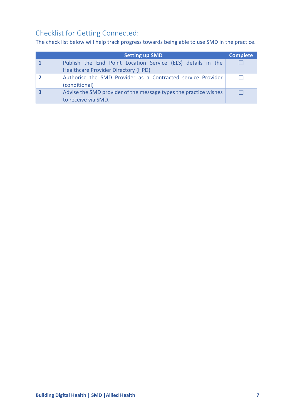#### <span id="page-7-0"></span>Checklist for Getting Connected:

The check list below will help track progress towards being able to use SMD in the practice.

| <b>Setting up SMD</b>                                                                                     | <b>Complete</b> |
|-----------------------------------------------------------------------------------------------------------|-----------------|
| Publish the End Point Location Service (ELS) details in the<br><b>Healthcare Provider Directory (HPD)</b> |                 |
| Authorise the SMD Provider as a Contracted service Provider<br>(conditional)                              |                 |
| Advise the SMD provider of the message types the practice wishes<br>to receive via SMD.                   |                 |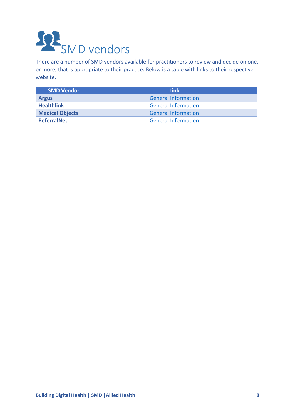<span id="page-8-0"></span>

There are a number of SMD vendors available for practitioners to review and decide on one, or more, that is appropriate to their practice. Below is a table with links to their respective website.

| <b>SMD Vendor</b>      | <b>Link</b>                |
|------------------------|----------------------------|
| <b>Argus</b>           | <b>General Information</b> |
| <b>Healthlink</b>      | <b>General Information</b> |
| <b>Medical Objects</b> | <b>General Information</b> |
| <b>ReferralNet</b>     | <b>General Information</b> |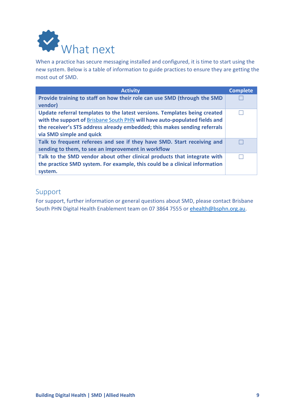<span id="page-9-0"></span>

When a practice has secure messaging installed and configured, it is time to start using the new system. Below is a table of information to guide practices to ensure they are getting the most out of SMD.

| <b>Activity</b>                                                                                                                                                                                                                                                  | <b>Complete</b> |
|------------------------------------------------------------------------------------------------------------------------------------------------------------------------------------------------------------------------------------------------------------------|-----------------|
| Provide training to staff on how their role can use SMD (through the SMD<br>vendor)                                                                                                                                                                              |                 |
| Update referral templates to the latest versions. Templates being created<br>with the support of Brisbane South PHN will have auto-populated fields and<br>the receiver's STS address already embedded; this makes sending referrals<br>via SMD simple and quick |                 |
| Talk to frequent referees and see if they have SMD. Start receiving and<br>sending to them, to see an improvement in workflow                                                                                                                                    |                 |
| Talk to the SMD vendor about other clinical products that integrate with<br>the practice SMD system. For example, this could be a clinical information<br>system.                                                                                                |                 |

#### <span id="page-9-1"></span>Support

For support, further information or general questions about SMD, please contact Brisbane South PHN Digital Health Enablement team on 07 3864 7555 or [ehealth@bsphn.org.au.](mailto:ehealth@bsphn.org.au)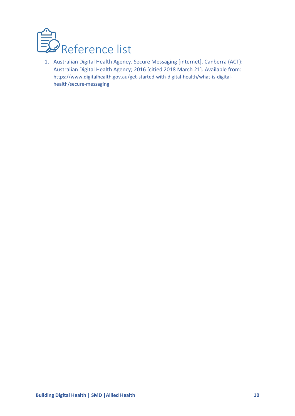<span id="page-10-0"></span>

1. Australian Digital Health Agency. Secure Messaging [internet]. Canberra (ACT): Australian Digital Health Agency; 2016 [citied 2018 March 21]. Available from: [https://www.digitalhealth.gov.au/get-started-with-digital-health/what-is-digital](https://www.digitalhealth.gov.au/get-started-with-digital-health/what-is-digital-health/secure-messaging)[health/secure-messaging](https://www.digitalhealth.gov.au/get-started-with-digital-health/what-is-digital-health/secure-messaging)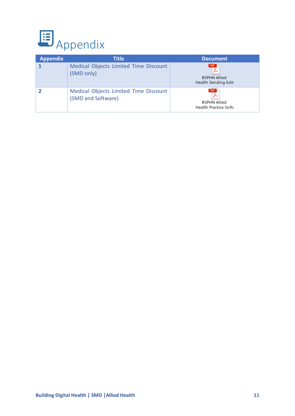<span id="page-11-0"></span>

| <b>Appendix</b> | Title                                                       | <b>Document</b>                                    |
|-----------------|-------------------------------------------------------------|----------------------------------------------------|
|                 | Medical Objects Limited Time Discount<br>(SMD only)         | PDF<br><b>BSPHN Allied</b><br>Health Sending Edit  |
|                 | Medical Objects Limited Time Discount<br>(SMD and Software) | PDF<br><b>BSPHN Allied</b><br>Health Practice Soft |